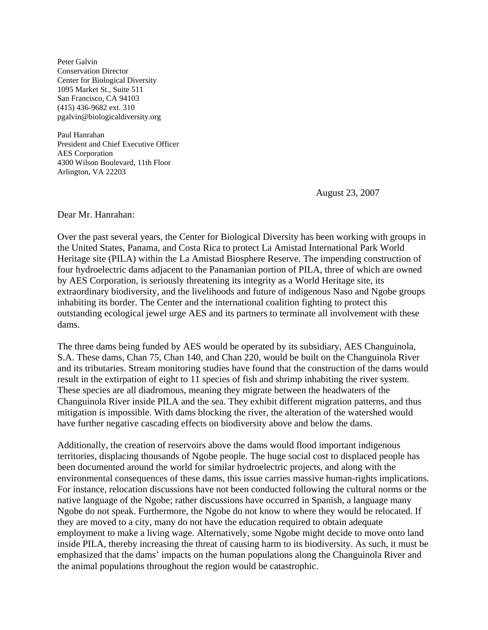Peter Galvin Conservation Director Center for Biological Diversity 1095 Market St., Suite 511 San Francisco, CA 94103 (415) 436-9682 ext. 310 pgalvin@biologicaldiversity.org

Paul Hanrahan President and Chief Executive Officer AES Corporation 4300 Wilson Boulevard, 11th Floor Arlington, VA 22203

August 23, 2007

Dear Mr. Hanrahan:

Over the past several years, the Center for Biological Diversity has been working with groups in the United States, Panama, and Costa Rica to protect La Amistad International Park World Heritage site (PILA) within the La Amistad Biosphere Reserve. The impending construction of four hydroelectric dams adjacent to the Panamanian portion of PILA, three of which are owned by AES Corporation, is seriously threatening its integrity as a World Heritage site, its extraordinary biodiversity, and the livelihoods and future of indigenous Naso and Ngobe groups inhabiting its border. The Center and the international coalition fighting to protect this outstanding ecological jewel urge AES and its partners to terminate all involvement with these dams.

The three dams being funded by AES would be operated by its subsidiary, AES Changuinola, S.A. These dams, Chan 75, Chan 140, and Chan 220, would be built on the Changuinola River and its tributaries. Stream monitoring studies have found that the construction of the dams would result in the extirpation of eight to 11 species of fish and shrimp inhabiting the river system. These species are all diadromous, meaning they migrate between the headwaters of the Changuinola River inside PILA and the sea. They exhibit different migration patterns, and thus mitigation is impossible. With dams blocking the river, the alteration of the watershed would have further negative cascading effects on biodiversity above and below the dams.

Additionally, the creation of reservoirs above the dams would flood important indigenous territories, displacing thousands of Ngobe people. The huge social cost to displaced people has been documented around the world for similar hydroelectric projects, and along with the environmental consequences of these dams, this issue carries massive human-rights implications. For instance, relocation discussions have not been conducted following the cultural norms or the native language of the Ngobe; rather discussions have occurred in Spanish, a language many Ngobe do not speak. Furthermore, the Ngobe do not know to where they would be relocated. If they are moved to a city, many do not have the education required to obtain adequate employment to make a living wage. Alternatively, some Ngobe might decide to move onto land inside PILA, thereby increasing the threat of causing harm to its biodiversity. As such, it must be emphasized that the dams' impacts on the human populations along the Changuinola River and the animal populations throughout the region would be catastrophic.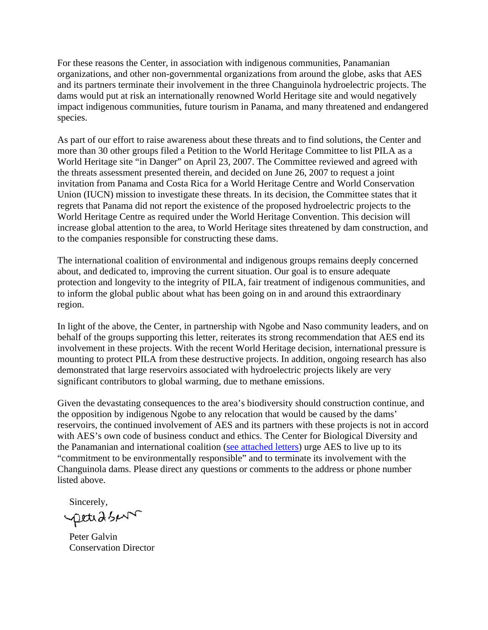For these reasons the Center, in association with indigenous communities, Panamanian organizations, and other non-governmental organizations from around the globe, asks that AES and its partners terminate their involvement in the three Changuinola hydroelectric projects. The dams would put at risk an internationally renowned World Heritage site and would negatively impact indigenous communities, future tourism in Panama, and many threatened and endangered species.

As part of our effort to raise awareness about these threats and to find solutions, the Center and more than 30 other groups filed a Petition to the World Heritage Committee to list PILA as a World Heritage site "in Danger" on April 23, 2007. The Committee reviewed and agreed with the threats assessment presented therein, and decided on June 26, 2007 to request a joint invitation from Panama and Costa Rica for a World Heritage Centre and World Conservation Union (IUCN) mission to investigate these threats. In its decision, the Committee states that it regrets that Panama did not report the existence of the proposed hydroelectric projects to the World Heritage Centre as required under the World Heritage Convention. This decision will increase global attention to the area, to World Heritage sites threatened by dam construction, and to the companies responsible for constructing these dams.

The international coalition of environmental and indigenous groups remains deeply concerned about, and dedicated to, improving the current situation. Our goal is to ensure adequate protection and longevity to the integrity of PILA, fair treatment of indigenous communities, and to inform the global public about what has been going on in and around this extraordinary region.

In light of the above, the Center, in partnership with Ngobe and Naso community leaders, and on behalf of the groups supporting this letter, reiterates its strong recommendation that AES end its involvement in these projects. With the recent World Heritage decision, international pressure is mounting to protect PILA from these destructive projects. In addition, ongoing research has also demonstrated that large reservoirs associated with hydroelectric projects likely are very significant contributors to global warming, due to methane emissions.

Given the devastating consequences to the area's biodiversity should construction continue, and the opposition by indigenous Ngobe to any relocation that would be caused by the dams' reservoirs, the continued involvement of AES and its partners with these projects is not in accord with AES's own code of business conduct and ethics. The Center for Biological Diversity and the Panamanian and international coalition [\(see attached letters\)](http://www.biologicaldiversity.org/swcbd/programs/international/pdfs/Letters-in-Spanish-and-English.pdf) urge AES to live up to its "commitment to be environmentally responsible" and to terminate its involvement with the Changuinola dams. Please direct any questions or comments to the address or phone number listed above.

Sincerely,<br>petud s/

 Peter Galvin Conservation Director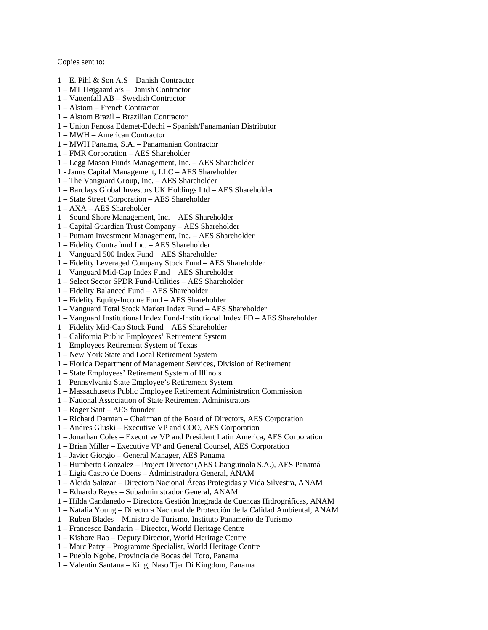#### Copies sent to:

- 1 E. Pihl & Søn A.S Danish Contractor
- 1 MT Højgaard a/s Danish Contractor
- 1 Vattenfall AB Swedish Contractor
- 1 Alstom French Contractor
- 1 Alstom Brazil Brazilian Contractor
- 1 Union Fenosa Edemet-Edechi Spanish/Panamanian Distributor
- 1 MWH American Contractor
- 1 MWH Panama, S.A. Panamanian Contractor
- 1 FMR Corporation AES Shareholder
- 1 Legg Mason Funds Management, Inc. AES Shareholder
- 1 Janus Capital Management, LLC AES Shareholder
- 1 The Vanguard Group, Inc. AES Shareholder
- 1 Barclays Global Investors UK Holdings Ltd AES Shareholder
- 1 State Street Corporation AES Shareholder
- 1 AXA AES Shareholder
- 1 Sound Shore Management, Inc. AES Shareholder
- 1 Capital Guardian Trust Company AES Shareholder
- 1 Putnam Investment Management, Inc. AES Shareholder
- 1 Fidelity Contrafund Inc. AES Shareholder
- 1 Vanguard 500 Index Fund AES Shareholder
- 1 Fidelity Leveraged Company Stock Fund AES Shareholder
- 1 Vanguard Mid-Cap Index Fund AES Shareholder
- 1 Select Sector SPDR Fund-Utilities AES Shareholder
- 1 Fidelity Balanced Fund AES Shareholder
- 1 Fidelity Equity-Income Fund AES Shareholder
- 1 Vanguard Total Stock Market Index Fund AES Shareholder
- 1 Vanguard Institutional Index Fund-Institutional Index FD AES Shareholder
- 1 Fidelity Mid-Cap Stock Fund AES Shareholder
- 1 California Public Employees' Retirement System
- 1 Employees Retirement System of Texas
- 1 New York State and Local Retirement System
- 1 Florida Department of Management Services, Division of Retirement
- 1 State Employees' Retirement System of Illinois
- 1 Pennsylvania State Employee's Retirement System
- 1 Massachusetts Public Employee Retirement Administration Commission
- 1 National Association of State Retirement Administrators
- 1 Roger Sant AES founder
- 1 Richard Darman Chairman of the Board of Directors, AES Corporation
- 1 Andres Gluski Executive VP and COO, AES Corporation
- 1 Jonathan Coles Executive VP and President Latin America, AES Corporation
- 1 Brian Miller Executive VP and General Counsel, AES Corporation
- 1 Javier Giorgio General Manager, AES Panama
- 1 Humberto Gonzalez Project Director (AES Changuinola S.A.), AES Panamá
- 1 Ligia Castro de Doens Administradora General, ANAM
- 1 Aleida Salazar Directora Nacional Áreas Protegidas y Vida Silvestra, ANAM
- 1 Eduardo Reyes Subadministrador General, ANAM
- 1 Hilda Candanedo Directora Gestión Integrada de Cuencas Hidrográficas, ANAM
- 1 Natalia Young Directora Nacional de Protección de la Calidad Ambiental, ANAM
- 1 Ruben Blades Ministro de Turismo, Instituto Panameño de Turismo
- 1 Francesco Bandarin Director, World Heritage Centre
- 1 Kishore Rao Deputy Director, World Heritage Centre
- 1 Marc Patry Programme Specialist, World Heritage Centre
- 1 Pueblo Ngobe, Provincia de Bocas del Toro, Panama
- 1 Valentin Santana King, Naso Tjer Di Kingdom, Panama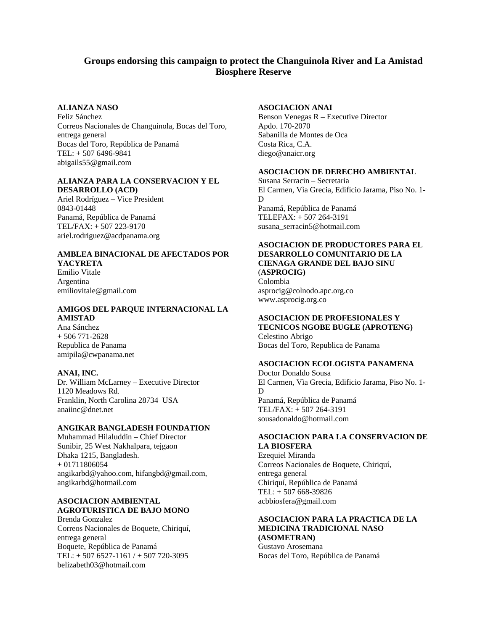## **Groups endorsing this campaign to protect the Changuinola River and La Amistad Biosphere Reserve**

## **ALIANZA NASO**

Feliz Sánchez Correos Nacionales de Changuinola, Bocas del Toro, entrega general Bocas del Toro, República de Panamá TEL: + 507 6496-9841 abigails55@gmail.com

#### **ALIANZA PARA LA CONSERVACION Y EL DESARROLLO (ACD)**

Ariel Rodríguez – Vice President 0843-01448 Panamá, República de Panamá TEL/FAX: + 507 223-9170 ariel.rodriguez@acdpanama.org

# **AMBLEA BINACIONAL DE AFECTADOS POR**

**YACYRETA** Emilio Vitale Argentina emiliovitale@gmail.com

## **AMIGOS DEL PARQUE INTERNACIONAL LA AMISTAD**

Ana Sánchez + 506 771-2628 Republica de Panama amipila@cwpanama.net

## **ANAI, INC.**

Dr. William McLarney – Executive Director 1120 Meadows Rd. Franklin, North Carolina 28734 USA anaiinc@dnet.net

## **ANGIKAR BANGLADESH FOUNDATION**

Muhammad Hilaluddin – Chief Director Sunibir, 25 West Nakhalpara, tejgaon Dhaka 1215, Bangladesh. + 01711806054 angikarbd@yahoo.com, hifangbd@gmail.com, angikarbd@hotmail.com

## **ASOCIACION AMBIENTAL AGROTURISTICA DE BAJO MONO**

Brenda Gonzalez Correos Nacionales de Boquete, Chiriquí, entrega general Boquete, República de Panamá TEL: + 507 6527-1161 / + 507 720-3095 belizabeth03@hotmail.com

## **ASOCIACION ANAI**

Benson Venegas R – Executive Director Apdo. 170-2070 Sabanilla de Montes de Oca Costa Rica, C.A. diego@anaicr.org

#### **ASOCIACION DE DERECHO AMBIENTAL**

Susana Serracin – Secretaria El Carmen, Vìa Grecia, Edificio Jarama, Piso No. 1- D Panamá, República de Panamá TELEFAX: + 507 264-3191 susana\_serracin5@hotmail.com

#### **ASOCIACION DE PRODUCTORES PARA EL DESARROLLO COMUNITARIO DE LA CIENAGA GRANDE DEL BAJO SINU** (**ASPROCIG)** Colombia

asprocig@colnodo.apc.org.co www.asprocig.org.co

#### **ASOCIACION DE PROFESIONALES Y TECNICOS NGOBE BUGLE (APROTENG)**

Celestino Abrigo Bocas del Toro, Republica de Panama

## **ASOCIACION ECOLOGISTA PANAMENA**

Doctor Donaldo Sousa El Carmen, Vìa Grecia, Edificio Jarama, Piso No. 1- D Panamá, República de Panamá TEL/FAX: + 507 264-3191 sousadonaldo@hotmail.com

## **ASOCIACION PARA LA CONSERVACION DE LA BIOSFERA**

Ezequiel Miranda Correos Nacionales de Boquete, Chiriquí, entrega general Chiriquí, República de Panamá TEL: + 507 668-39826 acbbiosfera@gmail.com

## **ASOCIACION PARA LA PRACTICA DE LA MEDICINA TRADICIONAL NASO (ASOMETRAN)**

Gustavo Arosemana Bocas del Toro, República de Panamá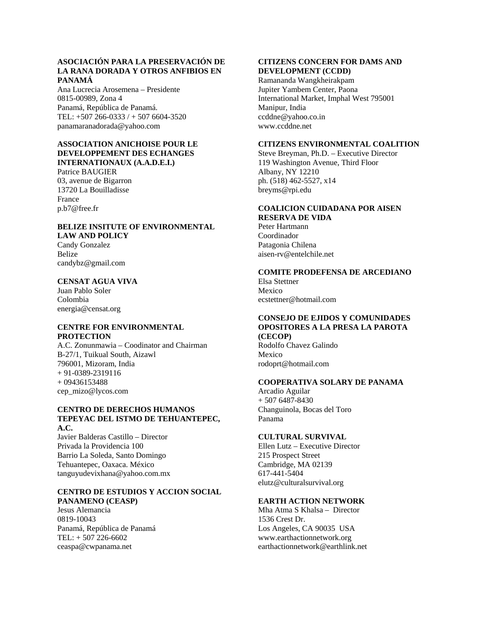## **ASOCIACIÓN PARA LA PRESERVACIÓN DE LA RANA DORADA Y OTROS ANFIBIOS EN PANAMÁ**

Ana Lucrecia Arosemena – Presidente 0815-00989, Zona 4 Panamá, República de Panamá. TEL: +507 266-0333 / + 507 6604-3520 panamaranadorada@yahoo.com

#### **ASSOCIATION ANICHOISE POUR LE DEVELOPPEMENT DES ECHANGES INTERNATIONAUX (A.A.D.E.I.)**

Patrice BAUGIER 03, avenue de Bigarron 13720 La Bouilladisse France p.b7@free.fr

#### **BELIZE INSITUTE OF ENVIRONMENTAL LAW AND POLICY**  Candy Gonzalez

Belize candybz@gmail.com

#### **CENSAT AGUA VIVA**

Juan Pablo Soler Colombia energia@censat.org

## **CENTRE FOR ENVIRONMENTAL PROTECTION**

A.C. Zonunmawia – Coodinator and Chairman B-27/1, Tuikual South, Aizawl 796001, Mizoram, India + 91-0389-2319116 + 09436153488 cep\_mizo@lycos.com

#### **CENTRO DE DERECHOS HUMANOS TEPEYAC DEL ISTMO DE TEHUANTEPEC, A.C.**

Javier Balderas Castillo – Director Privada la Providencia 100 Barrio La Soleda, Santo Domingo Tehuantepec, Oaxaca. México tanguyudevixhana@yahoo.com.mx

#### **CENTRO DE ESTUDIOS Y ACCION SOCIAL PANAMENO (CEASP)**

Jesus Alemancia 0819-10043 Panamá, República de Panamá TEL: + 507 226-6602 ceaspa@cwpanama.net

#### **CITIZENS CONCERN FOR DAMS AND DEVELOPMENT (CCDD)**

Ramananda Wangkheirakpam Jupiter Yambem Center, Paona International Market, Imphal West 795001 Manipur, India ccddne@yahoo.co.in www.ccddne.net

## **CITIZENS ENVIRONMENTAL COALITION**

Steve Breyman, Ph.D. – Executive Director 119 Washington Avenue, Third Floor Albany, NY 12210 ph. (518) 462-5527, x14 breyms@rpi.edu

#### **COALICION CUIDADANA POR AISEN RESERVA DE VIDA**

Peter Hartmann Coordinador Patagonia Chilena aisen-rv@entelchile.net

## **COMITE PRODEFENSA DE ARCEDIANO**

Elsa Stettner Mexico ecstettner@hotmail.com

## **CONSEJO DE EJIDOS Y COMUNIDADES OPOSITORES A LA PRESA LA PAROTA (CECOP)**

Rodolfo Chavez Galindo Mexico rodoprt@hotmail.com

## **COOPERATIVA SOLARY DE PANAMA**

Arcadio Aguilar + 507 6487-8430 Changuinola, Bocas del Toro Panama

## **CULTURAL SURVIVAL**

Ellen Lutz – Executive Director 215 Prospect Street Cambridge, MA 02139 617-441-5404 elutz@culturalsurvival.org

#### **EARTH ACTION NETWORK**

Mha Atma S Khalsa – Director 1536 Crest Dr. Los Angeles, CA 90035 USA www.earthactionnetwork.org earthactionnetwork@earthlink.net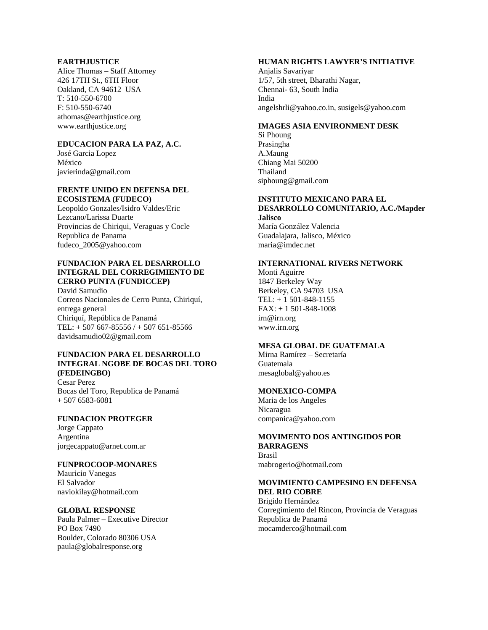#### **EARTHJUSTICE**

Alice Thomas – Staff Attorney 426 17TH St., 6TH Floor Oakland, CA 94612 USA T: 510-550-6700 F: 510-550-6740 athomas@earthjustice.org www.earthjustice.org

## **EDUCACION PARA LA PAZ, A.C.**

José Garcia Lopez México javierinda@gmail.com

#### **FRENTE UNIDO EN DEFENSA DEL ECOSISTEMA (FUDECO)**

Leopoldo Gonzales/Isidro Valdes/Eric Lezcano/Larissa Duarte Provincias de Chiriqui, Veraguas y Cocle Republica de Panama fudeco\_2005@yahoo.com

#### **FUNDACION PARA EL DESARROLLO INTEGRAL DEL CORREGIMIENTO DE CERRO PUNTA (FUNDICCEP)**

David Samudio Correos Nacionales de Cerro Punta, Chiriquí, entrega general Chiriquí, República de Panamá TEL: + 507 667-85556 / + 507 651-85566 davidsamudio02@gmail.com

#### **FUNDACION PARA EL DESARROLLO INTEGRAL NGOBE DE BOCAS DEL TORO (FEDEINGBO)**

Cesar Perez Bocas del Toro, Republica de Panamá + 507 6583-6081

## **FUNDACION PROTEGER**

Jorge Cappato Argentina jorgecappato@arnet.com.ar

## **FUNPROCOOP-MONARES**

Mauricio Vanegas El Salvador naviokilay@hotmail.com

## **GLOBAL RESPONSE**

Paula Palmer – Executive Director PO Box 7490 Boulder, Colorado 80306 USA paula@globalresponse.org

## **HUMAN RIGHTS LAWYER'S INITIATIVE**

Anjalis Savariyar 1/57, 5th street, Bharathi Nagar, Chennai- 63, South India India angelshrli@yahoo.co.in, susigels@yahoo.com

#### **IMAGES ASIA ENVIRONMENT DESK**

Si Phoung Prasingha A.Maung Chiang Mai 50200 Thailand siphoung@gmail.com

## **INSTITUTO MEXICANO PARA EL DESARROLLO COMUNITARIO, A.C./Mapder**

**Jalisco**  María González Valencia Guadalajara, Jalisco, México maria@imdec.net

## **INTERNATIONAL RIVERS NETWORK**

Monti Aguirre 1847 Berkeley Way Berkeley, CA 94703 USA TEL: + 1 501-848-1155 FAX: + 1 501-848-1008 irn@irn.org www.irn.org

## **MESA GLOBAL DE GUATEMALA**

Mirna Ramírez – Secretaría Guatemala mesaglobal@yahoo.es

#### **MONEXICO-COMPA**

Maria de los Angeles Nicaragua companica@yahoo.com

## **MOVIMENTO DOS ANTINGIDOS POR BARRAGENS**

Brasil mabrogerio@hotmail.com

#### **MOVIMIENTO CAMPESINO EN DEFENSA DEL RIO COBRE**

Brigido Hernández Corregimiento del Rincon, Provincia de Veraguas Republica de Panamá mocamderco@hotmail.com